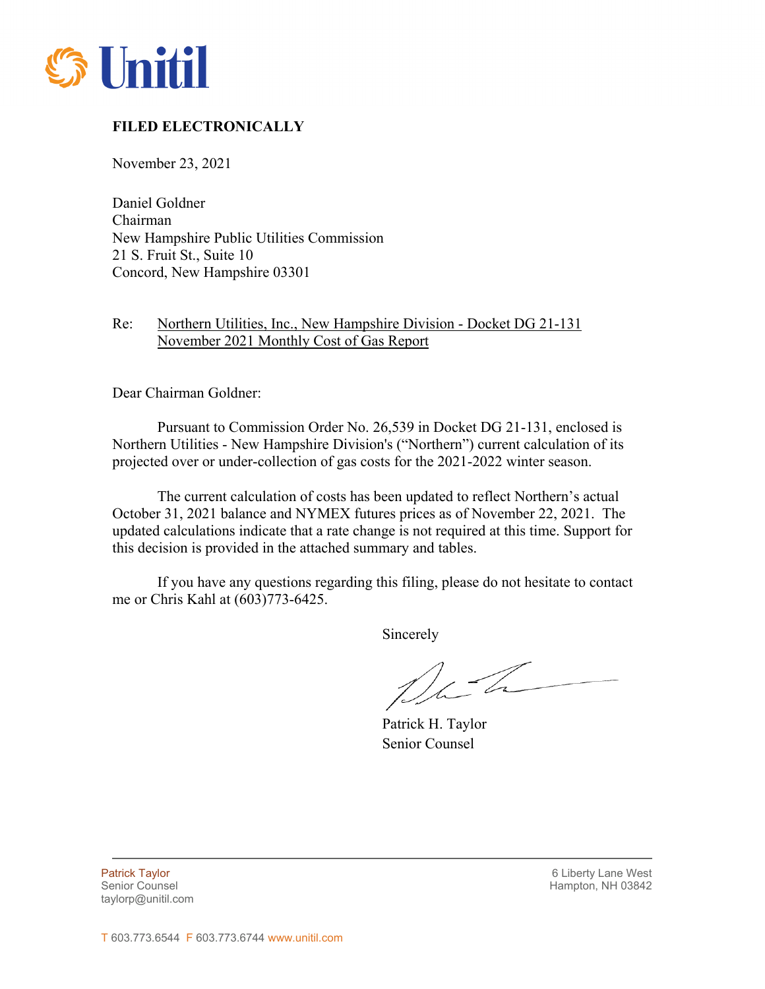

## **FILED ELECTRONICALLY**

November 23, 2021

Daniel Goldner Chairman New Hampshire Public Utilities Commission 21 S. Fruit St., Suite 10 Concord, New Hampshire 03301

## Re: Northern Utilities, Inc., New Hampshire Division - Docket DG 21-131 November 2021 Monthly Cost of Gas Report

Dear Chairman Goldner:

Pursuant to Commission Order No. 26,539 in Docket DG 21-131, enclosed is Northern Utilities - New Hampshire Division's ("Northern") current calculation of its projected over or under-collection of gas costs for the 2021-2022 winter season.

The current calculation of costs has been updated to reflect Northern's actual October 31, 2021 balance and NYMEX futures prices as of November 22, 2021. The updated calculations indicate that a rate change is not required at this time. Support for this decision is provided in the attached summary and tables.

If you have any questions regarding this filing, please do not hesitate to contact me or Chris Kahl at (603)773-6425.

Sincerely

Dela

Patrick H. Taylor Senior Counsel

taylorp@unitil.com

L

Patrick Taylor 6 Liberty Lane West Senior Counsel New York 1988 and the Senior Counsel Hampton, NH 03842